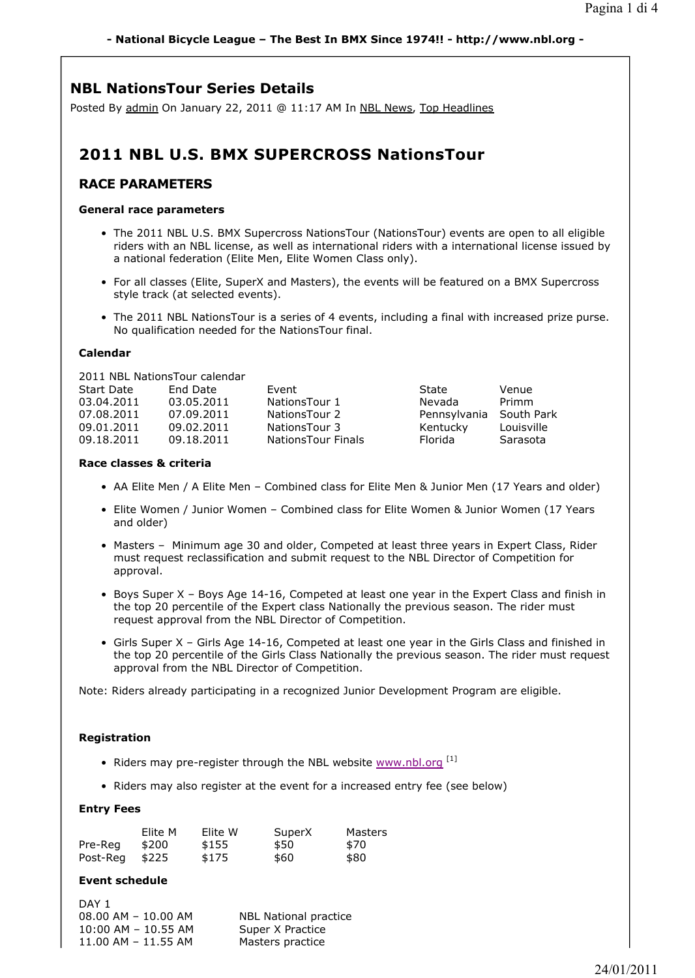# **NBL NationsTour Series Details**

Posted By admin On January 22, 2011 @ 11:17 AM In NBL News, Top Headlines

# **2011 NBL U.S. BMX SUPERCROSS NationsTour**

# **RACE PARAMETERS**

### **General race parameters**

- The 2011 NBL U.S. BMX Supercross NationsTour (NationsTour) events are open to all eligible riders with an NBL license, as well as international riders with a international license issued by a national federation (Elite Men, Elite Women Class only).
- For all classes (Elite, SuperX and Masters), the events will be featured on a BMX Supercross style track (at selected events).
- The 2011 NBL NationsTour is a series of 4 events, including a final with increased prize purse. No qualification needed for the NationsTour final.

## **Calendar**

2011 NBL NationsTour calendar

| End Date   | Fvent                     | State        | Venue      |
|------------|---------------------------|--------------|------------|
| 03.05.2011 | NationsTour 1             | Nevada       | Primm      |
| 07.09.2011 | NationsTour 2             | Pennsylvania | South Park |
| 09.02.2011 | NationsTour 3             | Kentucky     | Louisville |
| 09.18.2011 | <b>NationsTour Finals</b> | Florida      | Sarasota   |
|            |                           |              |            |

## **Race classes & criteria**

- AA Elite Men / A Elite Men Combined class for Elite Men & Junior Men (17 Years and older)
- Elite Women / Junior Women Combined class for Elite Women & Junior Women (17 Years and older)
- Masters Minimum age 30 and older, Competed at least three years in Expert Class, Rider must request reclassification and submit request to the NBL Director of Competition for approval.
- Boys Super X Boys Age 14-16, Competed at least one year in the Expert Class and finish in the top 20 percentile of the Expert class Nationally the previous season. The rider must request approval from the NBL Director of Competition.
- Girls Super X Girls Age 14-16, Competed at least one year in the Girls Class and finished in the top 20 percentile of the Girls Class Nationally the previous season. The rider must request approval from the NBL Director of Competition.

Note: Riders already participating in a recognized Junior Development Program are eligible.

# **Registration**

- Riders may pre-register through the NBL website  $\frac{1}{12}$  www.nbl.org  $^{[1]}$
- Riders may also register at the event for a increased entry fee (see below)

### **Entry Fees**

|          | Elite M | Elite W | SuperX | Masters |
|----------|---------|---------|--------|---------|
| Pre-Rea  | \$200   | \$155   | \$50   | \$70    |
| Post-Reg | \$225   | \$175   | \$60   | \$80    |

### **Event schedule**

| DAY 1                   |                       |
|-------------------------|-----------------------|
| $08.00$ AM $- 10.00$ AM | NBL National practice |
| $10:00$ AM $- 10.55$ AM | Super X Practice      |
| $11.00$ AM $- 11.55$ AM | Masters practice      |
|                         |                       |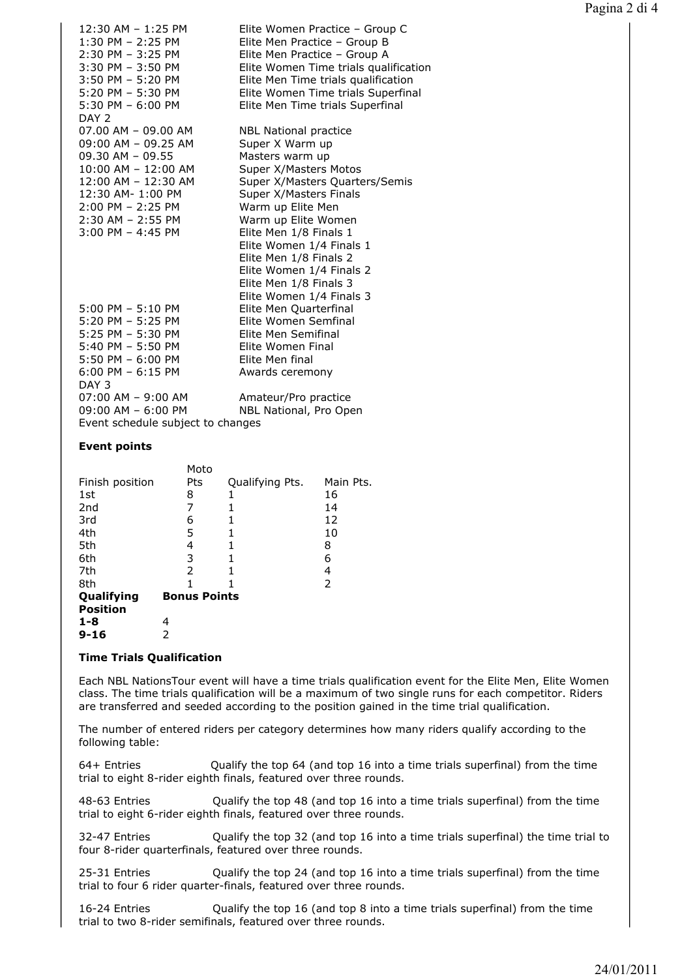| 12:30 AM - 1:25 PM                | Elite Women Practice - Group C        |
|-----------------------------------|---------------------------------------|
| 1:30 PM - 2:25 PM                 | Elite Men Practice - Group B          |
| 2:30 PM - 3:25 PM                 | Elite Men Practice - Group A          |
| $3:30$ PM $-3:50$ PM              | Elite Women Time trials qualification |
| $3:50$ PM $-5:20$ PM              | Elite Men Time trials qualification   |
| 5:20 PM - 5:30 PM                 | Elite Women Time trials Superfinal    |
| $5:30$ PM $-6:00$ PM              | Elite Men Time trials Superfinal      |
| DAY 2                             |                                       |
| 07.00 AM - 09.00 AM               | <b>NBL National practice</b>          |
| 09:00 AM - 09.25 AM               | Super X Warm up                       |
| $09.30$ AM $-$ 09.55              | Masters warm up                       |
| 10:00 AM - 12:00 AM               | Super X/Masters Motos                 |
| 12:00 AM - 12:30 AM               | Super X/Masters Quarters/Semis        |
| 12:30 AM- 1:00 PM                 | Super X/Masters Finals                |
| $2:00$ PM $- 2:25$ PM             | Warm up Elite Men                     |
| $2:30$ AM - 2:55 PM               | Warm up Elite Women                   |
| $3:00$ PM $-$ 4:45 PM             | Elite Men 1/8 Finals 1                |
|                                   | Elite Women 1/4 Finals 1              |
|                                   | Elite Men 1/8 Finals 2                |
|                                   | Elite Women 1/4 Finals 2              |
|                                   | Elite Men 1/8 Finals 3                |
|                                   | Elite Women 1/4 Finals 3              |
| $5:00$ PM $-5:10$ PM              | Elite Men Quarterfinal                |
| $5:20$ PM $-5:25$ PM              | Elite Women Semfinal                  |
| 5:25 PM - 5:30 PM                 | Elite Men Semifinal                   |
| $5:40$ PM - $5:50$ PM             | Elite Women Final                     |
| 5:50 PM - 6:00 PM                 | Elite Men final                       |
| $6:00$ PM $-6:15$ PM              | Awards ceremony                       |
| DAY 3                             |                                       |
| $07:00$ AM $-9:00$ AM             | Amateur/Pro practice                  |
| 09:00 AM - 6:00 PM                | NBL National, Pro Open                |
| Event schedule subject to changes |                                       |

#### **Event points**

|                 | Moto                |                 |           |
|-----------------|---------------------|-----------------|-----------|
| Finish position | Pts                 | Qualifying Pts. | Main Pts. |
| 1st             | 8                   | 1               | 16        |
| 2 <sub>nd</sub> | 7                   | 1               | 14        |
| 3rd             | 6                   |                 | 12        |
| 4th             | 5                   | 1               | 10        |
| 5th             | 4                   |                 | 8         |
| 6th             | 3                   |                 | 6         |
| 7th             | 2                   |                 | 4         |
| 8th             | 1                   |                 | 2         |
| Qualifying      | <b>Bonus Points</b> |                 |           |
| <b>Position</b> |                     |                 |           |
| $1 - 8$         | 4                   |                 |           |
| $9 - 16$        | 2                   |                 |           |

#### **Time Trials Qualification**

Each NBL NationsTour event will have a time trials qualification event for the Elite Men, Elite Women class. The time trials qualification will be a maximum of two single runs for each competitor. Riders are transferred and seeded according to the position gained in the time trial qualification.

The number of entered riders per category determines how many riders qualify according to the following table:

64+ Entries Qualify the top 64 (and top 16 into a time trials superfinal) from the time trial to eight 8-rider eighth finals, featured over three rounds.

48-63 Entries Qualify the top 48 (and top 16 into a time trials superfinal) from the time trial to eight 6-rider eighth finals, featured over three rounds.

32-47 Entries Qualify the top 32 (and top 16 into a time trials superfinal) the time trial to four 8-rider quarterfinals, featured over three rounds.

25-31 Entries Qualify the top 24 (and top 16 into a time trials superfinal) from the time trial to four 6 rider quarter-finals, featured over three rounds.

16-24 Entries Qualify the top 16 (and top 8 into a time trials superfinal) from the time trial to two 8-rider semifinals, featured over three rounds.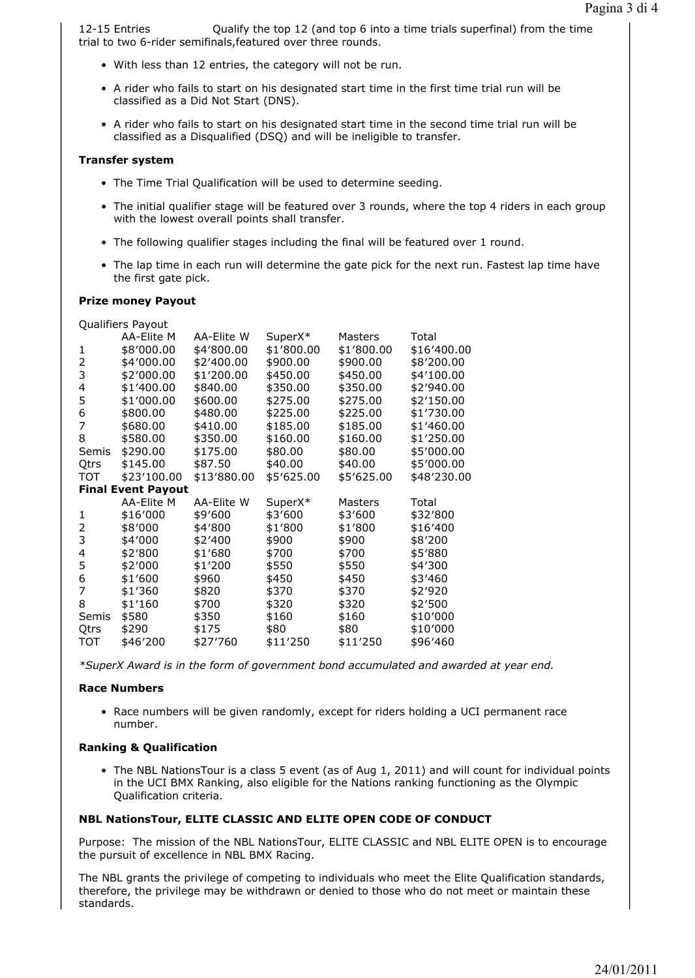12-15 Entries Qualify the top 12 (and top 6 into a time trials superfinal) from the time trial to two 6-rider semifinals,featured over three rounds.

- With less than 12 entries, the category will not be run.
- A rider who fails to start on his designated start time in the first time trial run will be classified as a Did Not Start (DNS).
- A rider who fails to start on his designated start time in the second time trial run will be classified as a Disqualified (DSQ) and will be ineligible to transfer.

#### **Transfer system**

- The Time Trial Qualification will be used to determine seeding.
- The initial qualifier stage will be featured over 3 rounds, where the top 4 riders in each group with the lowest overall points shall transfer.
- The following qualifier stages including the final will be featured over 1 round.
- The lap time in each run will determine the gate pick for the next run. Fastest lap time have the first gate pick.

#### **Prize money Payout**

|            | Qualifiers Payout         |             |            |                |             |
|------------|---------------------------|-------------|------------|----------------|-------------|
|            | AA-Elite M                | AA-Elite W  | SuperX*    | Masters        | Total       |
| 1          | \$8'000.00                | \$4'800.00  | \$1'800.00 | \$1'800.00     | \$16'400.00 |
| 2          | \$4'000.00                | \$2'400.00  | \$900.00   | \$900.00       | \$8'200.00  |
| 3          | \$2'000.00                | \$1'200.00  | \$450.00   | \$450.00       | \$4'100.00  |
| 4          | \$1'400.00                | \$840.00    | \$350.00   | \$350.00       | \$2'940.00  |
| 5          | \$1'000.00                | \$600.00    | \$275.00   | \$275.00       | \$2'150.00  |
| 6          | \$800.00                  | \$480.00    | \$225.00   | \$225.00       | \$1'730.00  |
| 7          | \$680.00                  | \$410.00    | \$185.00   | \$185.00       | \$1'460.00  |
| 8          | \$580.00                  | \$350.00    | \$160.00   | \$160.00       | \$1'250.00  |
| Semis      | \$290.00                  | \$175.00    | \$80.00    | \$80.00        | \$5'000.00  |
| Qtrs       | \$145.00                  | \$87.50     | \$40.00    | \$40.00        | \$5'000.00  |
| <b>TOT</b> | \$23'100.00               | \$13'880.00 | \$5'625.00 | \$5'625.00     | \$48'230.00 |
|            | <b>Final Event Payout</b> |             |            |                |             |
|            | AA-Elite M                | AA-Elite W  | SuperX*    | <b>Masters</b> | Total       |
| 1          | \$16'000                  | \$9'600     | \$3'600    | \$3'600        | \$32'800    |
| 2          | \$8'000                   | \$4'800     | \$1'800    | \$1'800        | \$16'400    |
| 3          | \$4'000                   | \$2'400     | \$900      | \$900          | \$8'200     |
| 4          | \$2'800                   | \$1'680     | \$700      | \$700          | \$5'880     |
| 5          | \$2'000                   | \$1'200     | \$550      | \$550          | \$4'300     |
| 6          | \$1'600                   | \$960       | \$450      | \$450          | \$3'460     |
| 7          | \$1'360                   | \$820       | \$370      | \$370          | \$2'920     |
| 8          | \$1'160                   | \$700       | \$320      | \$320          | \$2'500     |
| Semis      | \$580                     | \$350       | \$160      | \$160          | \$10'000    |
| Qtrs       | \$290                     | \$175       | \$80       | \$80           | \$10'000    |
| TOT        | \$46'200                  | \$27'760    | \$11'250   | \$11'250       | \$96'460    |
|            |                           |             |            |                |             |

*\*SuperX Award is in the form of government bond accumulated and awarded at year end.*

#### **Race Numbers**

• Race numbers will be given randomly, except for riders holding a UCI permanent race number.

#### **Ranking & Qualification**

• The NBL NationsTour is a class 5 event (as of Aug 1, 2011) and will count for individual points in the UCI BMX Ranking, also eligible for the Nations ranking functioning as the Olympic Qualification criteria.

#### **NBL NationsTour, ELITE CLASSIC AND ELITE OPEN CODE OF CONDUCT**

Purpose: The mission of the NBL NationsTour, ELITE CLASSIC and NBL ELITE OPEN is to encourage the pursuit of excellence in NBL BMX Racing.

The NBL grants the privilege of competing to individuals who meet the Elite Qualification standards, therefore, the privilege may be withdrawn or denied to those who do not meet or maintain these standards.